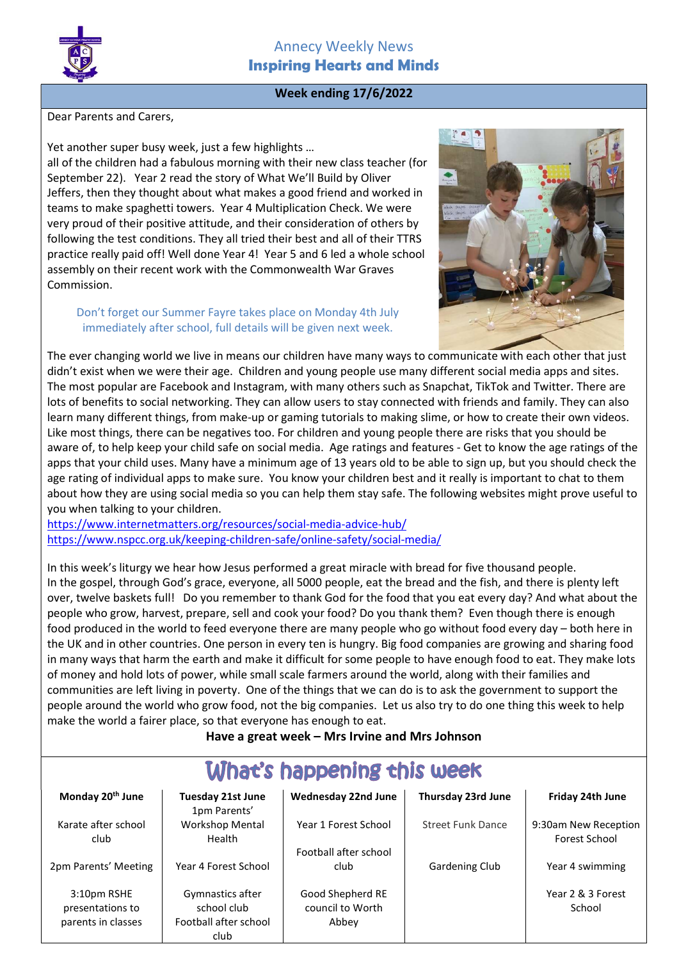

# Annecy Weekly News Inspiring Hearts and Minds

# Week ending 17/6/2022

Dear Parents and Carers,

Yet another super busy week, just a few highlights … all of the children had a fabulous morning with their new class teacher (for September 22). Year 2 read the story of What We'll Build by Oliver Jeffers, then they thought about what makes a good friend and worked in teams to make spaghetti towers. Year 4 Multiplication Check. We were very proud of their positive attitude, and their consideration of others by following the test conditions. They all tried their best and all of their TTRS practice really paid off! Well done Year 4! Year 5 and 6 led a whole school assembly on their recent work with the Commonwealth War Graves Commission.

### Don't forget our Summer Fayre takes place on Monday 4th July immediately after school, full details will be given next week.



The ever changing world we live in means our children have many ways to communicate with each other that just didn't exist when we were their age. Children and young people use many different social media apps and sites. The most popular are Facebook and Instagram, with many others such as Snapchat, TikTok and Twitter. There are lots of benefits to social networking. They can allow users to stay connected with friends and family. They can also learn many different things, from make-up or gaming tutorials to making slime, or how to create their own videos. Like most things, there can be negatives too. For children and young people there are risks that you should be aware of, to help keep your child safe on social media. Age ratings and features - Get to know the age ratings of the apps that your child uses. Many have a minimum age of 13 years old to be able to sign up, but you should check the age rating of individual apps to make sure. You know your children best and it really is important to chat to them about how they are using social media so you can help them stay safe. The following websites might prove useful to you when talking to your children.

https://www.internetmatters.org/resources/social-media-advice-hub/ https://www.nspcc.org.uk/keeping-children-safe/online-safety/social-media/

In this week's liturgy we hear how Jesus performed a great miracle with bread for five thousand people. In the gospel, through God's grace, everyone, all 5000 people, eat the bread and the fish, and there is plenty left over, twelve baskets full! Do you remember to thank God for the food that you eat every day? And what about the people who grow, harvest, prepare, sell and cook your food? Do you thank them? Even though there is enough food produced in the world to feed everyone there are many people who go without food every day – both here in the UK and in other countries. One person in every ten is hungry. Big food companies are growing and sharing food in many ways that harm the earth and make it difficult for some people to have enough food to eat. They make lots of money and hold lots of power, while small scale farmers around the world, along with their families and communities are left living in poverty. One of the things that we can do is to ask the government to support the people around the world who grow food, not the big companies. Let us also try to do one thing this week to help make the world a fairer place, so that everyone has enough to eat.

Have a great week – Mrs Irvine and Mrs Johnson

| What's happening this week                            |                                                                  |                                               |                          |                                              |
|-------------------------------------------------------|------------------------------------------------------------------|-----------------------------------------------|--------------------------|----------------------------------------------|
| Monday 20 <sup>th</sup> June                          | <b>Tuesday 21st June</b><br>1pm Parents'                         | <b>Wednesday 22nd June</b>                    | Thursday 23rd June       | Friday 24th June                             |
| Karate after school<br>club                           | <b>Workshop Mental</b><br>Health                                 | Year 1 Forest School<br>Football after school | <b>Street Funk Dance</b> | 9:30am New Reception<br><b>Forest School</b> |
| 2pm Parents' Meeting                                  | Year 4 Forest School                                             | club                                          | <b>Gardening Club</b>    | Year 4 swimming                              |
| 3:10pm RSHE<br>presentations to<br>parents in classes | Gymnastics after<br>school club<br>Football after school<br>club | Good Shepherd RE<br>council to Worth<br>Abbey |                          | Year 2 & 3 Forest<br>School                  |